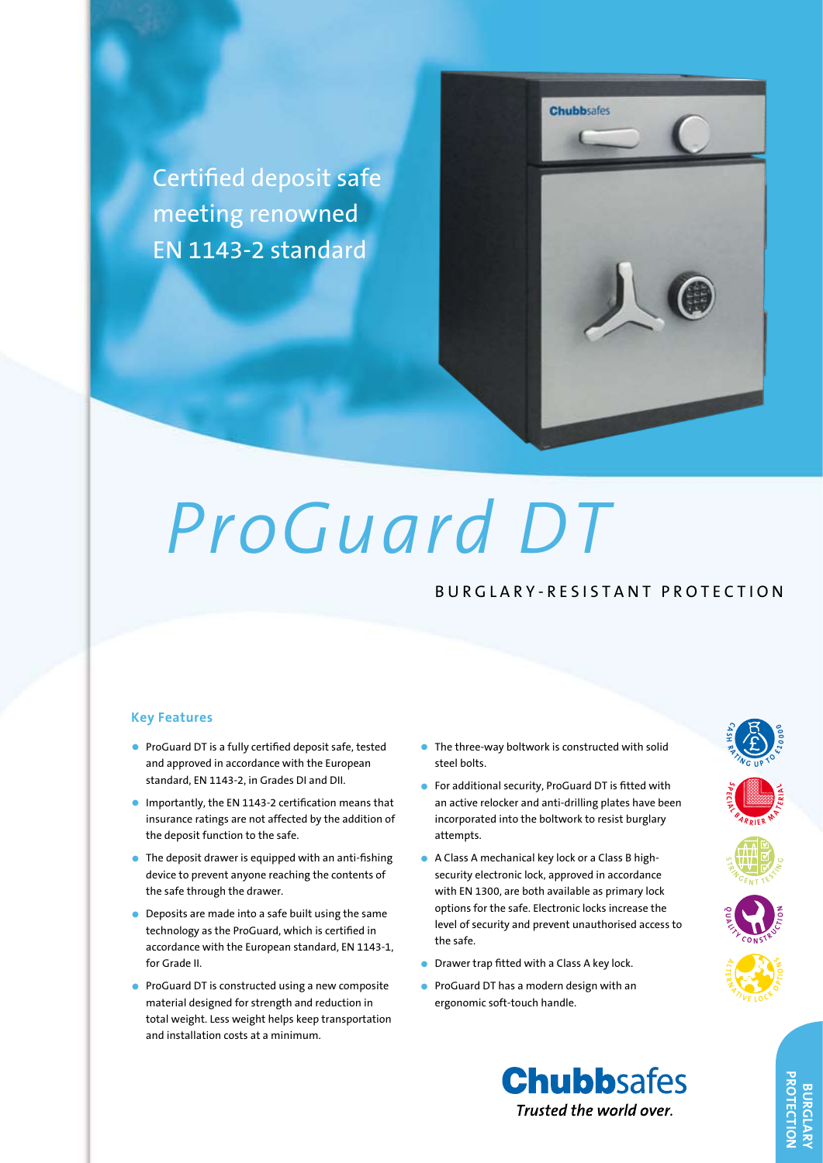



# *ProGuard DT*

## B U R G L A R Y - R E S I S T A N T P R O T E C T I O N

#### **Key Features**

- • ProGuard DT is a fully certified deposit safe, tested and approved in accordance with the European standard, EN 1143-2, in Grades DI and DII.
- • Importantly, the EN 1143-2 certification means that insurance ratings are not affected by the addition of the deposit function to the safe.
- $\bullet$  The deposit drawer is equipped with an anti-fishing device to prevent anyone reaching the contents of the safe through the drawer.
- **•** Deposits are made into a safe built using the same technology as the ProGuard, which is certified in accordance with the European standard, EN 1143-1, for Grade II.
- ProGuard DT is constructed using a new composite material designed for strength and reduction in total weight. Less weight helps keep transportation and installation costs at a minimum.
- The three-way boltwork is constructed with solid steel bolts.
- • For additional security, ProGuard DT is fitted with an active relocker and anti-drilling plates have been incorporated into the boltwork to resist burglary attempts.
- A Class A mechanical key lock or a Class B highsecurity electronic lock, approved in accordance with EN 1300, are both available as primary lock options for the safe. Electronic locks increase the level of security and prevent unauthorised access to the safe.
- Drawer trap fitted with a Class A key lock.
- • ProGuard DT has a modern design with an ergonomic soft-touch handle.





**S P E C <sup>A</sup> <sup>L</sup> <sup>B</sup> <sup>A</sup> <sup>R</sup> <sup>R</sup> <sup>I</sup>**

**S TANGENT <sup>T</sup> <sup>E</sup> <sup>S</sup> <sup>T</sup> <sup>I</sup> <sup>N</sup> <sup>G</sup>**

**Q <sup>A</sup> <sup>L</sup> <sup>I</sup> <sup>T</sup> <sup>Y</sup> <sup>C</sup> <sup>O</sup> <sup>N</sup>**

**A L R**  $\frac{Z_{\gamma}}{Z_{\gamma}}\sum_{k\in\mathbb{Z}}$ 

**C A**  $\mathbf{S}$ **H <sup>R</sup> <sup>A</sup> <sup>T</sup> <sup>I</sup> <sup>N</sup> <sup>G</sup> <sup>U</sup> <sup>P</sup> <sup>T</sup> <sup>O</sup> £ <sup>1</sup> <sup>0</sup> <sup>0</sup> <sup>0</sup> <sup>0</sup>**

**E R M A C**<br>**IER M A** 

**N** STRUCTURE

**D**  $\frac{1}{2}$   $\frac{1}{2}$   $\frac{1}{6}$   $\frac{1}{6}$